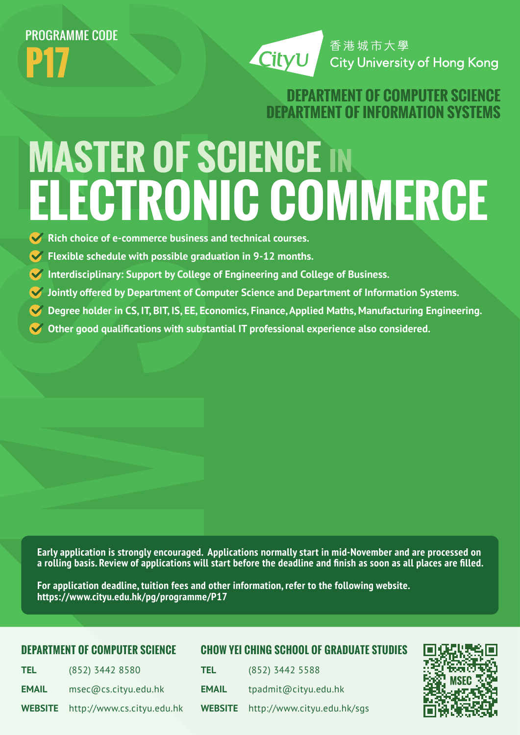# PROGRAMME CODE **P17**

CityU

香港城市大學 **City University of Hong Kong** 

## **DEPARTMENT OF COMPUTER SCIEN DEPARTMENT OF INFORMATION SYSTE**

# **MASTER OF SCIENCE IN ELECTRONIC COMMERCE**

- **K** Rich choice of e-commerce business and technical courses.
- **Flexible schedule with possible graduation in 9-12 months.**
- **Interdisciplinary: Support by College of Engineering and College of Business.**
- **Jointly offered by Department of Computer Science and Department of Information Systems.**
- **Degree holder in CS, IT, BIT, IS, EE, Economics, Finance, Applied Maths, Manufacturing Engineering.**
- **Other good qualifications with substantial IT professional experience also considered.**

**Early application is strongly encouraged. Applications normally start in mid-November and are processed on a rolling basis. Review of applications will start before the deadline and finish as soon as all places are filled.** 

**For application deadline, tuition fees and other information, refer to the following website. https://www.cityu.edu.hk/pg/programme/P17**

### **DEPARTMENT OF COMPUTER SCIENCE**

### **CHOW YEI CHING SCHOOL OF GRADUATE STUDIES**